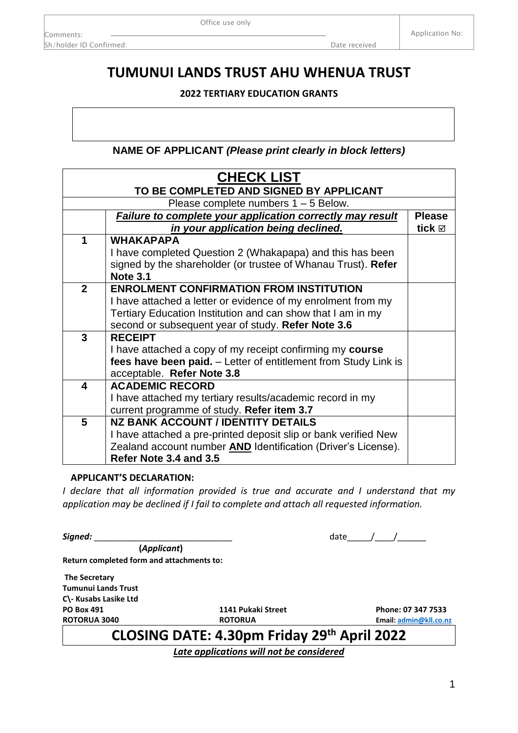1

## Zealand account number **AND** Identification (Driver's License). **Refer Note 3.4 and 3.5 APPLICANT'S DECLARATION:**  *I declare that all information provided is true and accurate and I understand that my Signed:* \_\_\_\_\_\_\_\_\_\_\_\_\_\_\_\_\_\_\_\_\_\_\_\_\_\_\_\_\_ date\_\_\_\_\_/\_\_\_\_/\_\_\_\_\_\_  **(***Applicant***) Return completed form and attachments to: The Secretary Tumunui Lands Trust C\- Kusabs Lasike Ltd PO Box 491 1141 Pukaki Street Phone: 07 347 7533 ROTORUA 3040 ROTORUA Email[: admin@kll.co.nz](mailto:admin@kll.co.nz) CLOSING DATE: 4.30pm Friday 29th April 2022** *Late applications will not be considered*

**2022 TERTIARY EDUCATION GRANTS**

**TUMUNUI LANDS TRUST AHU WHENUA TRUST**

Office use only

| NAME OF APPLICANT (Please print clearly in block letters) |              |                                                                      |               |  |  |
|-----------------------------------------------------------|--------------|----------------------------------------------------------------------|---------------|--|--|
|                                                           |              | <b>CHECK LIST</b>                                                    |               |  |  |
|                                                           |              | TO BE COMPLETED AND SIGNED BY APPLICANT                              |               |  |  |
|                                                           |              | Please complete numbers $1 - 5$ Below.                               |               |  |  |
|                                                           |              | Failure to complete your application correctly may result            | <b>Please</b> |  |  |
|                                                           |              | in your application being declined.                                  |               |  |  |
|                                                           | 1            | <b>WHAKAPAPA</b>                                                     |               |  |  |
|                                                           |              | I have completed Question 2 (Whakapapa) and this has been            |               |  |  |
|                                                           |              | signed by the shareholder (or trustee of Whanau Trust). Refer        |               |  |  |
|                                                           |              | <b>Note 3.1</b>                                                      |               |  |  |
|                                                           | $\mathbf{2}$ | <b>ENROLMENT CONFIRMATION FROM INSTITUTION</b>                       |               |  |  |
|                                                           |              | I have attached a letter or evidence of my enrolment from my         |               |  |  |
|                                                           |              | Tertiary Education Institution and can show that I am in my          |               |  |  |
|                                                           |              | second or subsequent year of study. Refer Note 3.6                   |               |  |  |
|                                                           | 3            | <b>RECEIPT</b>                                                       |               |  |  |
|                                                           |              | I have attached a copy of my receipt confirming my course            |               |  |  |
|                                                           |              | fees have been paid. - Letter of entitlement from Study Link is      |               |  |  |
|                                                           |              | acceptable. Refer Note 3.8                                           |               |  |  |
|                                                           | 4            | <b>ACADEMIC RECORD</b>                                               |               |  |  |
|                                                           |              | I have attached my tertiary results/academic record in my            |               |  |  |
|                                                           |              | current programme of study. Refer item 3.7                           |               |  |  |
|                                                           | 5            | <b>NZ BANK ACCOUNT / IDENTITY DETAILS</b>                            |               |  |  |
|                                                           |              | I have attached a pre-printed deposit slip or bank verified New      |               |  |  |
|                                                           |              | Zealand account number <b>AND</b> Identification (Driver's License). |               |  |  |

*application may be declined if I fail to complete and attach all requested information.* 

Comments: Sh/holder ID Confirmed: **Date received** Sh/holder ID Confirmed: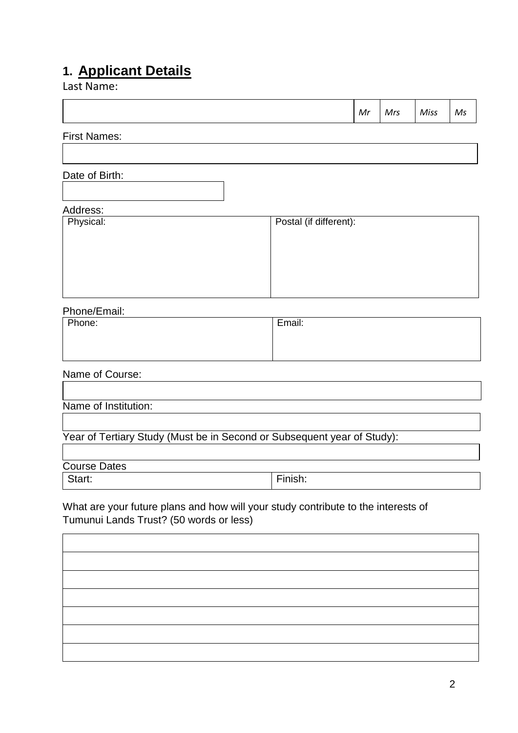## **1. Applicant Details**

Last Name:

|                                                                                                                              |                        | Mr | Mrs | Miss | Ms |
|------------------------------------------------------------------------------------------------------------------------------|------------------------|----|-----|------|----|
| <b>First Names:</b>                                                                                                          |                        |    |     |      |    |
|                                                                                                                              |                        |    |     |      |    |
| Date of Birth:                                                                                                               |                        |    |     |      |    |
| Address:                                                                                                                     |                        |    |     |      |    |
| Physical:                                                                                                                    | Postal (if different): |    |     |      |    |
|                                                                                                                              |                        |    |     |      |    |
|                                                                                                                              |                        |    |     |      |    |
|                                                                                                                              |                        |    |     |      |    |
| Phone/Email:                                                                                                                 |                        |    |     |      |    |
| Phone:                                                                                                                       | Email:                 |    |     |      |    |
|                                                                                                                              |                        |    |     |      |    |
| Name of Course:                                                                                                              |                        |    |     |      |    |
| Name of Institution:                                                                                                         |                        |    |     |      |    |
| Year of Tertiary Study (Must be in Second or Subsequent year of Study):                                                      |                        |    |     |      |    |
|                                                                                                                              |                        |    |     |      |    |
| <b>Course Dates</b><br>Start:                                                                                                | Finish:                |    |     |      |    |
|                                                                                                                              |                        |    |     |      |    |
| What are your future plans and how will your study contribute to the interests of<br>Tumunui Lands Trust? (50 words or less) |                        |    |     |      |    |
|                                                                                                                              |                        |    |     |      |    |
|                                                                                                                              |                        |    |     |      |    |
|                                                                                                                              |                        |    |     |      |    |
|                                                                                                                              |                        |    |     |      |    |
|                                                                                                                              |                        |    |     |      |    |
|                                                                                                                              |                        |    |     |      |    |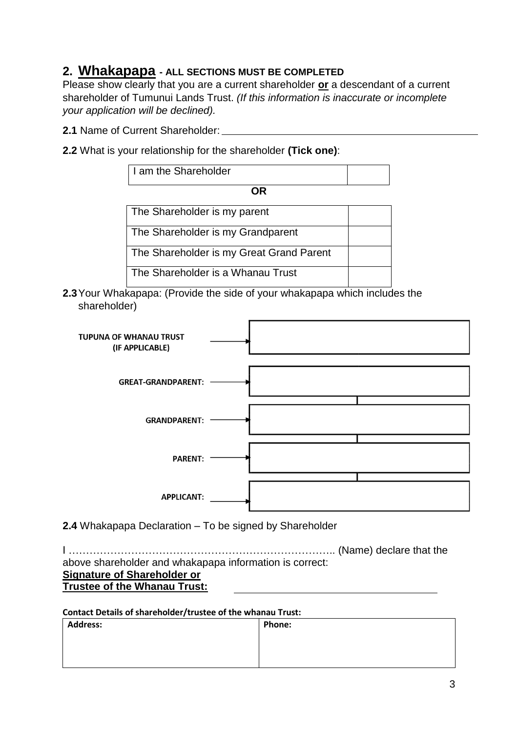## **2. Whakapapa - ALL SECTIONS MUST BE COMPLETED**

Please show clearly that you are a current shareholder **or** a descendant of a current shareholder of Tumunui Lands Trust. *(If this information is inaccurate or incomplete your application will be declined).* 

- **2.1** Name of Current Shareholder:
- **2.2** What is your relationship for the shareholder **(Tick one)**:

| I am the Shareholder                                      |  |  |  |  |
|-----------------------------------------------------------|--|--|--|--|
| OR                                                        |  |  |  |  |
| The Shareholder is my parent                              |  |  |  |  |
| The Shareholder is my Grandparent                         |  |  |  |  |
| The Shareholder is my Great Grand Parent                  |  |  |  |  |
| The Shareholder is a Whanau Trust                         |  |  |  |  |
| kanana: (Provida tha sida of vour whakanana which include |  |  |  |  |

**2.3**Your Whakapapa: (Provide the side of your whakapapa which includes the shareholder)



**2.4** Whakapapa Declaration – To be signed by Shareholder

I ………………………………………………………………….. (Name) declare that the above shareholder and whakapapa information is correct: **Signature of Shareholder or Trustee of the Whanau Trust:**

### **Contact Details of shareholder/trustee of the whanau Trust:**

| <b>Address:</b> | <b>Phone:</b> |
|-----------------|---------------|
|                 |               |
|                 |               |